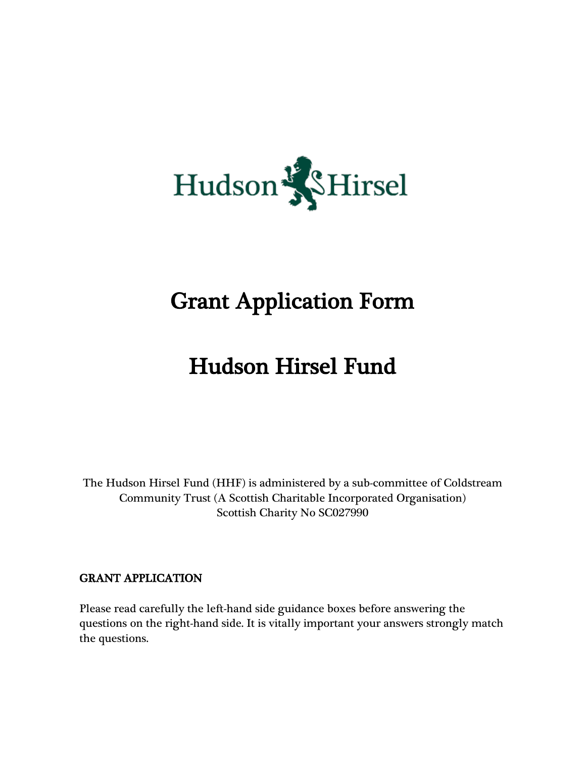

## Grant Application Form

## Hudson Hirsel Fund

The Hudson Hirsel Fund (HHF) is administered by a sub-committee of Coldstream Community Trust (A Scottish Charitable Incorporated Organisation) Scottish Charity No SC027990

## GRANT APPLICATION

Please read carefully the left-hand side guidance boxes before answering the questions on the right-hand side. It is vitally important your answers strongly match the questions.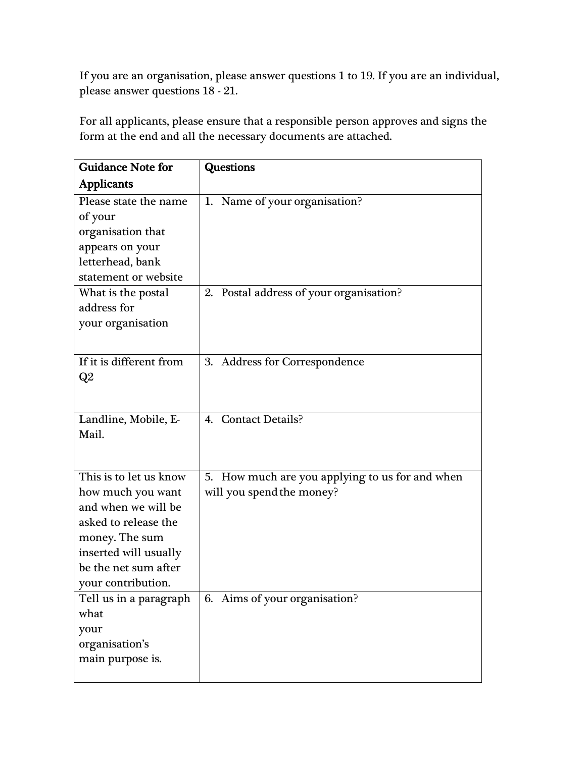If you are an organisation, please answer questions 1 to 19. If you are an individual, please answer questions 18 - 21.

For all applicants, please ensure that a responsible person approves and signs the form at the end and all the necessary documents are attached.

| <b>Guidance Note for</b>                                                                                                                                                            | <b>Questions</b>                                                             |
|-------------------------------------------------------------------------------------------------------------------------------------------------------------------------------------|------------------------------------------------------------------------------|
| <b>Applicants</b>                                                                                                                                                                   |                                                                              |
| Please state the name<br>of your<br>organisation that<br>appears on your<br>letterhead, bank<br>statement or website                                                                | 1. Name of your organisation?                                                |
| What is the postal<br>address for<br>your organisation                                                                                                                              | 2. Postal address of your organisation?                                      |
| If it is different from<br>$\mathrm{Q}2$                                                                                                                                            | 3. Address for Correspondence                                                |
| Landline, Mobile, E-<br>Mail.                                                                                                                                                       | 4. Contact Details?                                                          |
| This is to let us know<br>how much you want<br>and when we will be<br>asked to release the<br>money. The sum<br>inserted will usually<br>be the net sum after<br>your contribution. | 5. How much are you applying to us for and when<br>will you spend the money? |
| Tell us in a paragraph<br>what<br>your<br>organisation's<br>main purpose is.                                                                                                        | 6. Aims of your organisation?                                                |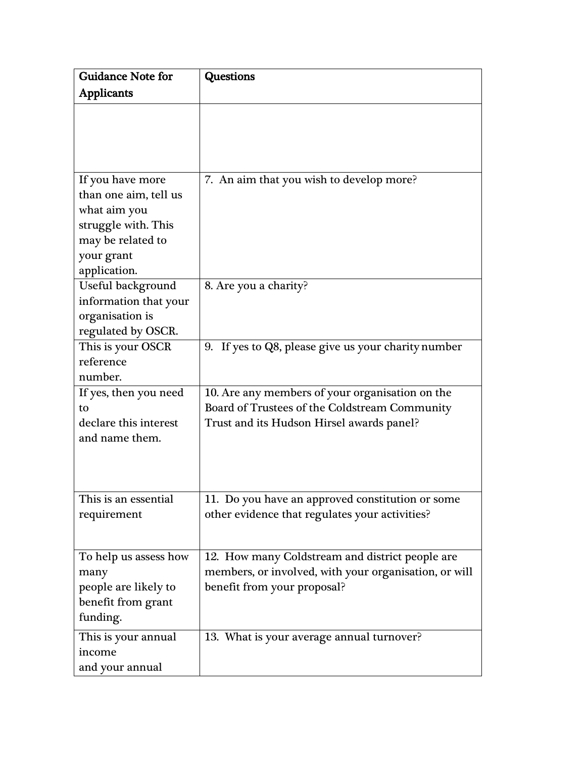| <b>Guidance Note for</b> | <b>Questions</b>                                      |
|--------------------------|-------------------------------------------------------|
| <b>Applicants</b>        |                                                       |
|                          |                                                       |
|                          |                                                       |
|                          |                                                       |
| If you have more         | 7. An aim that you wish to develop more?              |
| than one aim, tell us    |                                                       |
| what aim you             |                                                       |
| struggle with. This      |                                                       |
| may be related to        |                                                       |
| your grant               |                                                       |
| application.             |                                                       |
| Useful background        | 8. Are you a charity?                                 |
| information that your    |                                                       |
| organisation is          |                                                       |
| regulated by OSCR.       |                                                       |
| This is your OSCR        | 9. If yes to Q8, please give us your charity number   |
| reference                |                                                       |
| number.                  |                                                       |
| If yes, then you need    | 10. Are any members of your organisation on the       |
| to                       | Board of Trustees of the Coldstream Community         |
| declare this interest    | Trust and its Hudson Hirsel awards panel?             |
| and name them.           |                                                       |
|                          |                                                       |
|                          |                                                       |
|                          |                                                       |
| This is an essential     | 11. Do you have an approved constitution or some      |
| requirement              | other evidence that regulates your activities?        |
|                          |                                                       |
| To help us assess how    | 12. How many Coldstream and district people are       |
| many                     | members, or involved, with your organisation, or will |
| people are likely to     | benefit from your proposal?                           |
| benefit from grant       |                                                       |
| funding.                 |                                                       |
| This is your annual      | 13. What is your average annual turnover?             |
| income                   |                                                       |
| and your annual          |                                                       |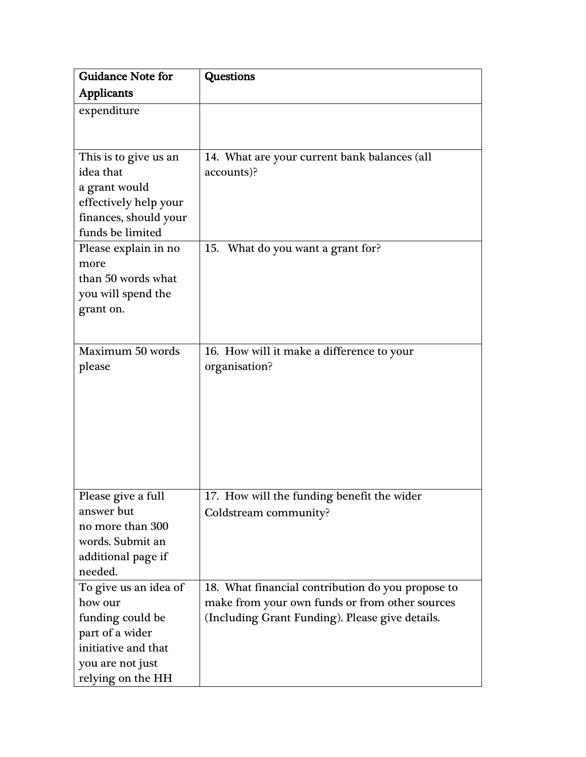| <b>Guidance Note for</b>                                                                                                                | <b>Questions</b>                                                                                                                                       |
|-----------------------------------------------------------------------------------------------------------------------------------------|--------------------------------------------------------------------------------------------------------------------------------------------------------|
| <b>Applicants</b>                                                                                                                       |                                                                                                                                                        |
| expenditure                                                                                                                             |                                                                                                                                                        |
|                                                                                                                                         |                                                                                                                                                        |
| This is to give us an<br>idea that<br>a grant would<br>effectively help your<br>finances, should your<br>funds be limited               | 14. What are your current bank balances (all<br>accounts)?                                                                                             |
| Please explain in no<br>more<br>than 50 words what<br>you will spend the<br>grant on.                                                   | 15. What do you want a grant for?                                                                                                                      |
| Maximum 50 words<br>please                                                                                                              | 16. How will it make a difference to your<br>organisation?                                                                                             |
| Please give a full<br>answer but<br>no more than 300<br>words. Submit an<br>additional page if<br>needed.                               | 17. How will the funding benefit the wider<br>Coldstream community?                                                                                    |
| To give us an idea of<br>how our<br>funding could be<br>part of a wider<br>initiative and that<br>you are not just<br>relying on the HH | 18. What financial contribution do you propose to<br>make from your own funds or from other sources<br>(Including Grant Funding). Please give details. |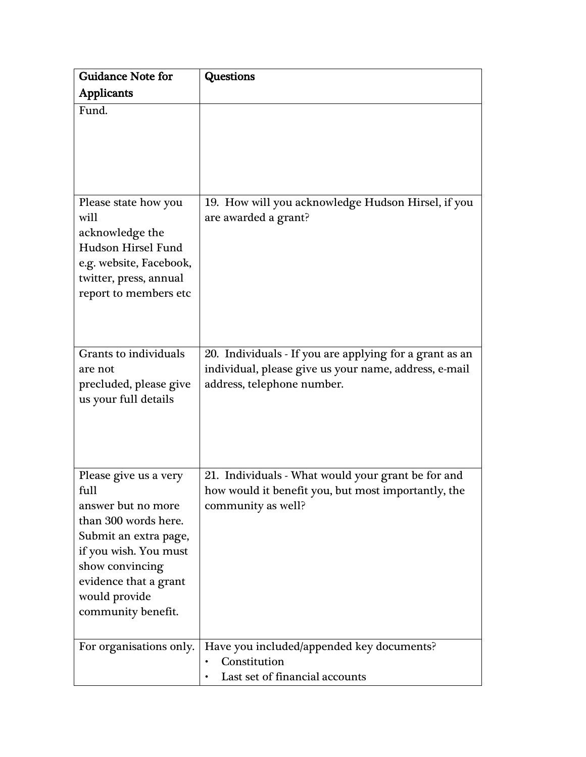| <b>Guidance Note for</b>                                                                                                                                                                                         | <b>Questions</b>                                                                                                                               |
|------------------------------------------------------------------------------------------------------------------------------------------------------------------------------------------------------------------|------------------------------------------------------------------------------------------------------------------------------------------------|
| <b>Applicants</b>                                                                                                                                                                                                |                                                                                                                                                |
| Fund.                                                                                                                                                                                                            |                                                                                                                                                |
| Please state how you<br>will<br>acknowledge the<br><b>Hudson Hirsel Fund</b><br>e.g. website, Facebook,<br>twitter, press, annual<br>report to members etc                                                       | 19. How will you acknowledge Hudson Hirsel, if you<br>are awarded a grant?                                                                     |
| Grants to individuals<br>are not<br>precluded, please give<br>us your full details                                                                                                                               | 20. Individuals - If you are applying for a grant as an<br>individual, please give us your name, address, e-mail<br>address, telephone number. |
| Please give us a very<br>full<br>answer but no more<br>than 300 words here.<br>Submit an extra page,<br>if you wish. You must<br>show convincing<br>evidence that a grant<br>would provide<br>community benefit. | 21. Individuals - What would your grant be for and<br>how would it benefit you, but most importantly, the<br>community as well?                |
| For organisations only.                                                                                                                                                                                          | Have you included/appended key documents?<br>Constitution<br>٠<br>Last set of financial accounts                                               |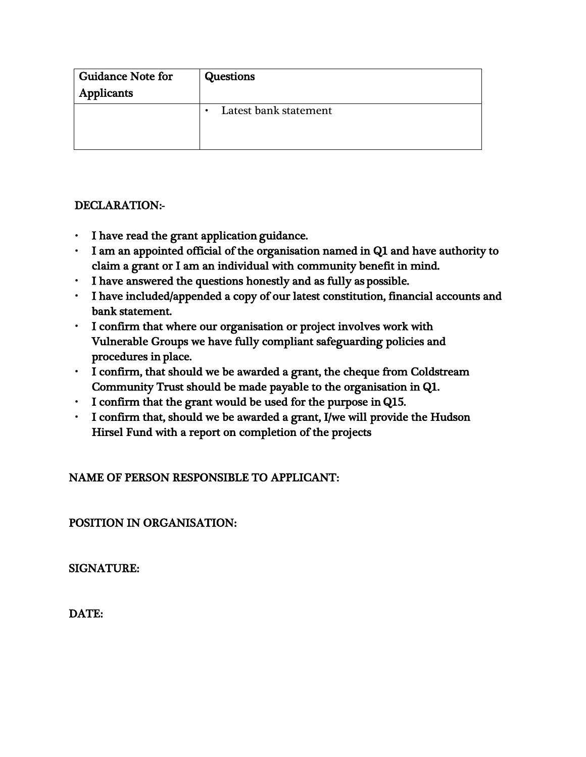| <b>Guidance Note for</b> | <b>Questions</b>                   |
|--------------------------|------------------------------------|
| <b>Applicants</b>        |                                    |
|                          | Latest bank statement<br>$\bullet$ |
|                          |                                    |

## DECLARATION:-

- I have read the grant application guidance.
- I am an appointed official of the organisation named in Q1 and have authority to claim a grant or I am an individual with community benefit in mind.
- I have answered the questions honestly and as fully as possible.
- I have included/appended a copy of our latest constitution, financial accounts and bank statement.
- I confirm that where our organisation or project involves work with Vulnerable Groups we have fully compliant safeguarding policies and procedures in place.
- I confirm, that should we be awarded a grant, the cheque from Coldstream Community Trust should be made payable to the organisation in Q1.
- I confirm that the grant would be used for the purpose in Q15.
- I confirm that, should we be awarded a grant, I/we will provide the Hudson Hirsel Fund with a report on completion of the projects

NAME OF PERSON RESPONSIBLE TO APPLICANT:

POSITION IN ORGANISATION:

SIGNATURE:

DATE: